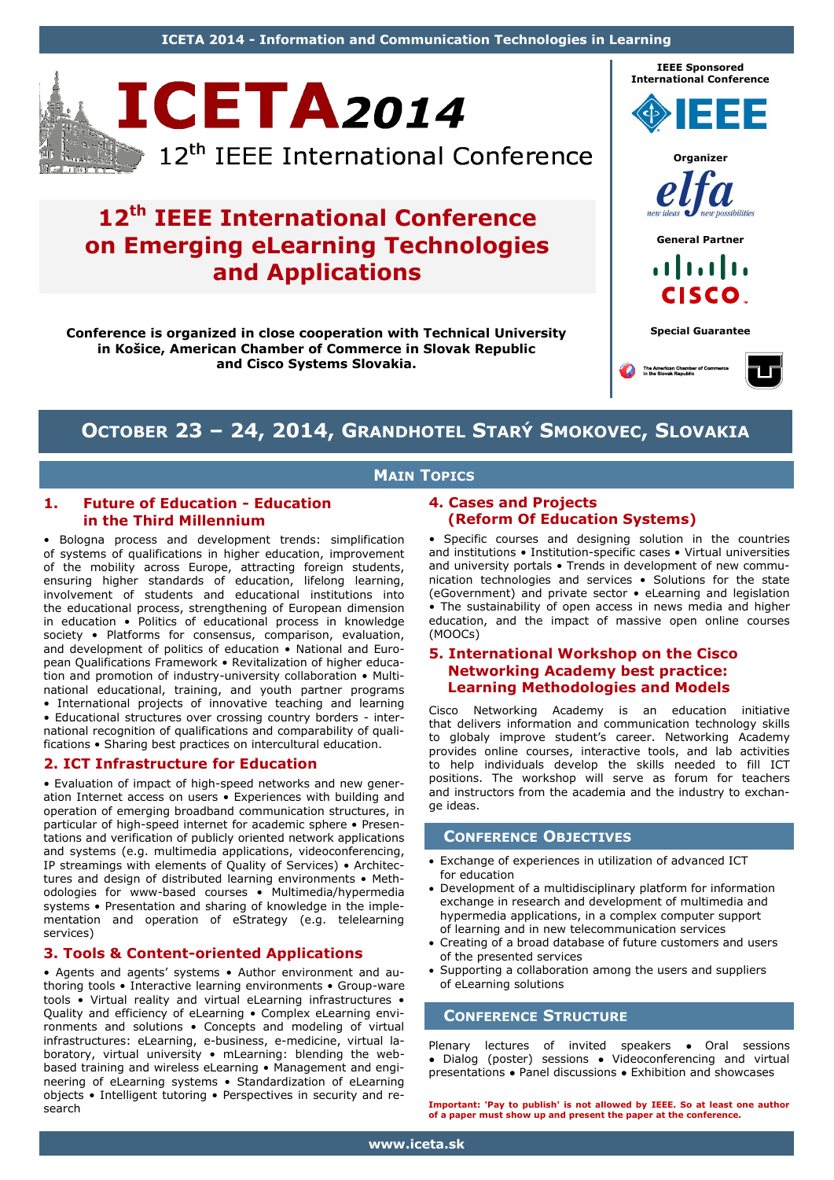**ICETA 2014 - Information and Communication Technologies in Learning**



# **12th IEEE International Conference on Emerging eLearning Technologies and Applications**

**Conference is organized in close cooperation with Technical University in Košice, American Chamber of Commerce in Slovak Republic and Cisco Systems Slovakia.**



## **OCTOBER 23 – 24, 2014, GRANDHOTEL STARÝ SMOKOVEC, SLOVAKIA**

## **MAIN TOPICS**

### **1. Future of Education - Education in the Third Millennium**

• Bologna process and development trends: simplification of systems of qualifications in higher education, improvement of the mobility across Europe, attracting foreign students, ensuring higher standards of education, lifelong learning, involvement of students and educational institutions into the educational process, strengthening of European dimension in education • Politics of educational process in knowledge society • Platforms for consensus, comparison, evaluation, and development of politics of education • National and European Qualifications Framework • Revitalization of higher education and promotion of industry-university collaboration • Multinational educational, training, and youth partner programs • International projects of innovative teaching and learning

• Educational structures over crossing country borders - international recognition of qualifications and comparability of qualifications • Sharing best practices on intercultural education.

## **2. ICT Infrastructure for Education**

• Evaluation of impact of high-speed networks and new generation Internet access on users • Experiences with building and operation of emerging broadband communication structures, in particular of high-speed internet for academic sphere • Presentations and verification of publicly oriented network applications and systems (e.g. multimedia applications, videoconferencing, IP streamings with elements of Quality of Services) • Architectures and design of distributed learning environments • Methodologies for www-based courses • Multimedia/hypermedia systems • Presentation and sharing of knowledge in the implementation and operation of eStrategy (e.g. telelearning services)

## **3. Tools & Content-oriented Applications**

• Agents and agents' systems • Author environment and authoring tools • Interactive learning environments • Group-ware tools • Virtual reality and virtual eLearning infrastructures • Quality and efficiency of eLearning • Complex eLearning environments and solutions • Concepts and modeling of virtual infrastructures: eLearning, e-business, e-medicine, virtual laboratory, virtual university • mLearning: blending the webbased training and wireless eLearning • Management and engineering of eLearning systems • Standardization of eLearning objects • Intelligent tutoring • Perspectives in security and research

### **4. Cases and Projects (Reform Of Education Systems)**

• Specific courses and designing solution in the countries and institutions • Institution-specific cases • Virtual universities and university portals • Trends in development of new communication technologies and services • Solutions for the state (eGovernment) and private sector • eLearning and legislation • The sustainability of open access in news media and higher education, and the impact of massive open online courses (MOOCs)

### **5. International Workshop on the Cisco Networking Academy best practice: Learning Methodologies and Models**

Cisco Networking Academy is an education initiative that delivers information and communication technology skills to globaly improve student's career. Networking Academy provides online courses, interactive tools, and lab activities to help individuals develop the skills needed to fill ICT positions. The workshop will serve as forum for teachers and instructors from the academia and the industry to exchange ideas.

## **CONFERENCE OBJECTIVES**

- Exchange of experiences in utilization of advanced ICT for education
- Development of a multidisciplinary platform for information exchange in research and development of multimedia and hypermedia applications, in a complex computer support of learning and in new telecommunication services
- Creating of a broad database of future customers and users of the presented services
- Supporting a collaboration among the users and suppliers of eLearning solutions

## **CONFERENCE STRUCTURE**

Plenary lectures of invited speakers • Oral sessions ● Dialog (poster) sessions ● Videoconferencing and virtual presentations ● Panel discussions ● Exhibition and showcases

**Important: 'Pay to publish' is not allowed by IEEE. So at least one author of a paper must show up and present the paper at the conference.**